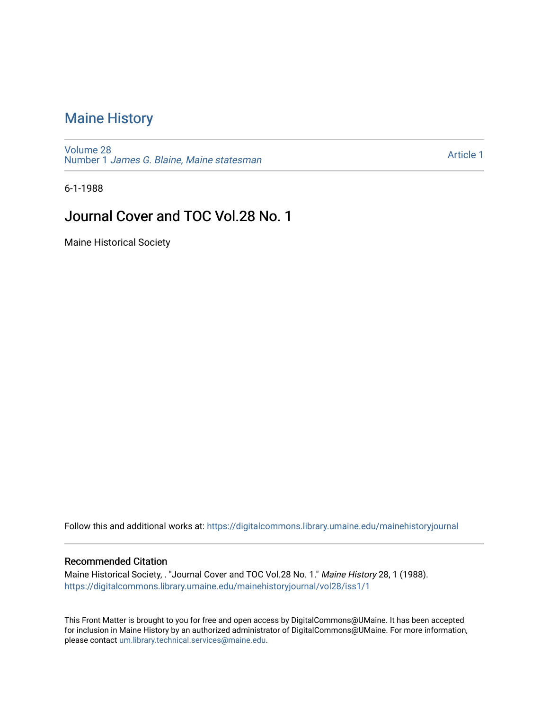# [Maine History](https://digitalcommons.library.umaine.edu/mainehistoryjournal)

[Volume 28](https://digitalcommons.library.umaine.edu/mainehistoryjournal/vol28) Number 1 [James G. Blaine, Maine statesman](https://digitalcommons.library.umaine.edu/mainehistoryjournal/vol28/iss1) 

[Article 1](https://digitalcommons.library.umaine.edu/mainehistoryjournal/vol28/iss1/1) 

6-1-1988

## Journal Cover and TOC Vol.28 No. 1

Maine Historical Society

Follow this and additional works at: [https://digitalcommons.library.umaine.edu/mainehistoryjournal](https://digitalcommons.library.umaine.edu/mainehistoryjournal?utm_source=digitalcommons.library.umaine.edu%2Fmainehistoryjournal%2Fvol28%2Fiss1%2F1&utm_medium=PDF&utm_campaign=PDFCoverPages) 

#### Recommended Citation

Maine Historical Society, . "Journal Cover and TOC Vol.28 No. 1." Maine History 28, 1 (1988). [https://digitalcommons.library.umaine.edu/mainehistoryjournal/vol28/iss1/1](https://digitalcommons.library.umaine.edu/mainehistoryjournal/vol28/iss1/1?utm_source=digitalcommons.library.umaine.edu%2Fmainehistoryjournal%2Fvol28%2Fiss1%2F1&utm_medium=PDF&utm_campaign=PDFCoverPages)

This Front Matter is brought to you for free and open access by DigitalCommons@UMaine. It has been accepted for inclusion in Maine History by an authorized administrator of DigitalCommons@UMaine. For more information, please contact [um.library.technical.services@maine.edu.](mailto:um.library.technical.services@maine.edu)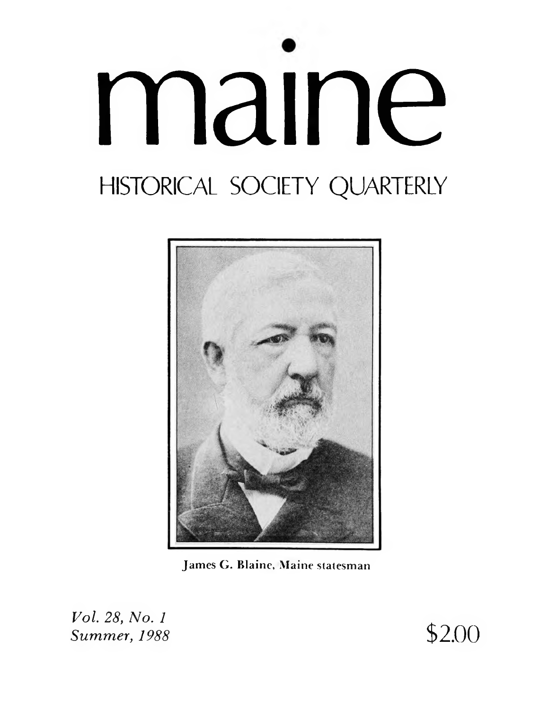





Vol. 28, No. 1 Summer, 1988

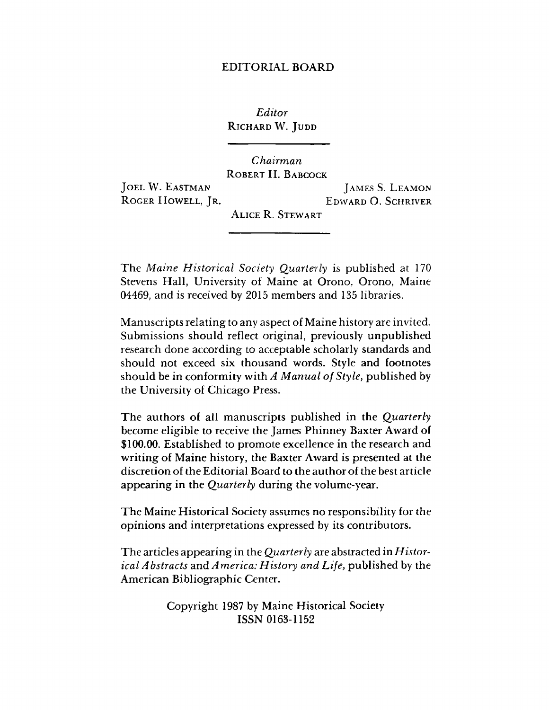#### EDITORIAL BOARD

*Editor* **Richard** W. **J udd**

*Chairman* **Robert H. Babcock**

**J oel** W. **Eastman Roger Howell, J r.**

**J ames S. L eamon Edward** O. **Schriver**

**Alice R. Stewart**

The *Maine Historical Society Quarterly* is published at 170 Stevens Hall, University of Maine at Orono, Orono, Maine 04469, and is received by 2015 members and 135 libraries.

Manuscripts relating to any aspect of Maine history are invited. Submissions should reflect original, previously unpublished research done according to acceptable scholarly standards and should not exceed six thousand words. Style and footnotes should be in conformity with *A Manual of Style*, published by the University of Chicago Press.

The authors of all manuscripts published in the *Quarterly* become eligible to receive the James Phinney Baxter Award of \$100.00. Established to promote excellence in the research and writing of Maine history, the Baxter Award is presented at the discretion of the Editorial Board to the author of the best article appearing in the *Quarterly* during the volume-year.

The Maine Historical Society assumes no responsibility for the opinions and interpretations expressed by its contributors.

The articles appearing in the *Quarterly* are abstracted in *Historical Abstracts* and *America: History and Life,* published by the American Bibliographic Center.

> Copyright 1987 by Maine Historical Society ISSN 0163-1152